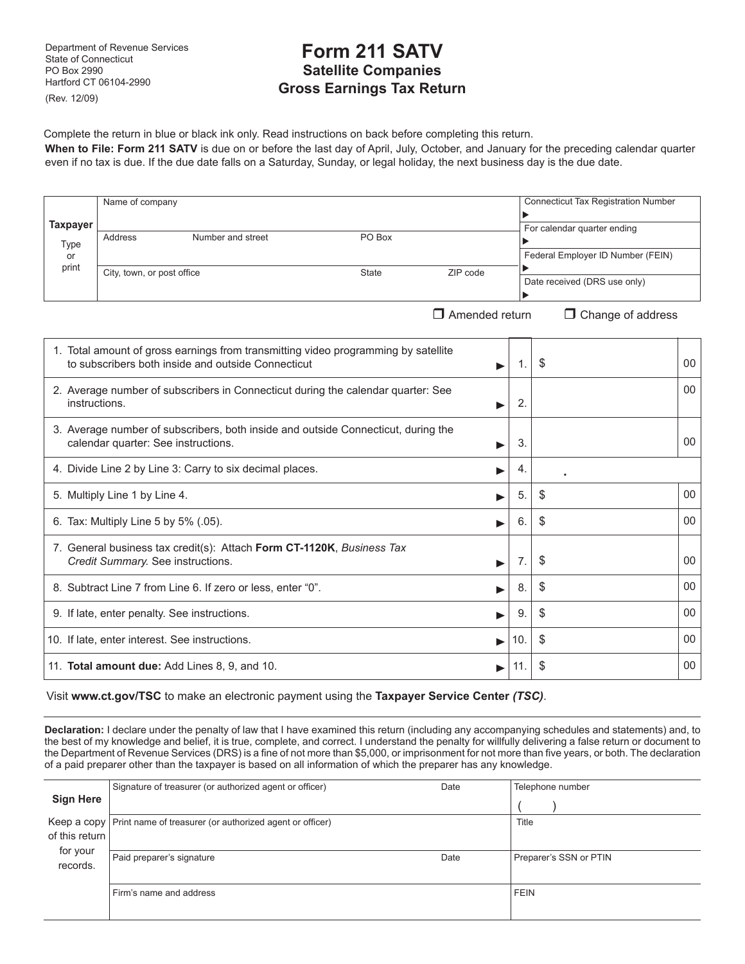Department of Revenue Services State of Connecticut PO Box 2990 Hartford CT 06104-2990 (Rev. 12/09)

# **Form 211 SATV Satellite Companies Gross Earnings Tax Return**

Complete the return in blue or black ink only. Read instructions on back before completing this return.

**When to File: Form 211 SATV** is due on or before the last day of April, July, October, and January for the preceding calendar quarter even if no tax is due. If the due date falls on a Saturday, Sunday, or legal holiday, the next business day is the due date.

|          | Name of company            |                   |              |          | <b>Connecticut Tax Registration Number</b> |
|----------|----------------------------|-------------------|--------------|----------|--------------------------------------------|
|          |                            |                   |              |          |                                            |
| Taxpayer |                            |                   |              |          | For calendar quarter ending                |
| Type     | Address                    | Number and street | PO Box       |          |                                            |
| or       |                            |                   |              |          | Federal Employer ID Number (FEIN)          |
| print    | City, town, or post office |                   | <b>State</b> | ZIP code |                                            |
|          |                            |                   |              |          | Date received (DRS use only)               |
|          |                            |                   |              |          |                                            |
|          |                            |                   |              |          | —<br>- - -                                 |

 $\Box$  Amended return  $\Box$  Change of address

| 1. Total amount of gross earnings from transmitting video programming by satellite<br>to subscribers both inside and outside Connecticut<br>▶ | 1.  | \$<br>00 |
|-----------------------------------------------------------------------------------------------------------------------------------------------|-----|----------|
| 2. Average number of subscribers in Connecticut during the calendar quarter: See<br>instructions.                                             | 2.  | 00       |
| 3. Average number of subscribers, both inside and outside Connecticut, during the<br>calendar quarter: See instructions.                      | 3.  | 00       |
| 4. Divide Line 2 by Line 3: Carry to six decimal places.                                                                                      | 4.  |          |
| 5. Multiply Line 1 by Line 4.                                                                                                                 | 5.  | \$<br>00 |
| 6. Tax: Multiply Line 5 by 5% (.05).                                                                                                          | 6.  | \$<br>00 |
| 7. General business tax credit(s): Attach Form CT-1120K, Business Tax<br>Credit Summary. See instructions.                                    | 7.  | \$<br>00 |
| 8. Subtract Line 7 from Line 6. If zero or less, enter "0".                                                                                   | 8.  | \$<br>00 |
| 9. If late, enter penalty. See instructions.                                                                                                  | 9.  | \$<br>00 |
| 10. If late, enter interest. See instructions.                                                                                                | 10. | \$<br>00 |
| 11. Total amount due: Add Lines 8, 9, and 10.                                                                                                 |     | \$<br>00 |

Visit **www.ct.gov/TSC** to make an electronic payment using the **Taxpayer Service Center** *(TSC)*.

**Declaration:** I declare under the penalty of law that I have examined this return (including any accompanying schedules and statements) and, to the best of my knowledge and belief, it is true, complete, and correct. I understand the penalty for willfully delivering a false return or document to the Department of Revenue Services (DRS) is a fine of not more than \$5,000, or imprisonment for not more than five years, or both. The declaration of a paid preparer other than the taxpayer is based on all information of which the preparer has any knowledge.

|                  | Signature of treasurer (or authorized agent or officer)                | Date | Telephone number       |
|------------------|------------------------------------------------------------------------|------|------------------------|
| <b>Sign Here</b> |                                                                        |      |                        |
|                  | Keep a copy   Print name of treasurer (or authorized agent or officer) |      | Title                  |
| of this return   |                                                                        |      |                        |
| for your         | Paid preparer's signature                                              | Date |                        |
| records.         |                                                                        |      | Preparer's SSN or PTIN |
|                  |                                                                        |      |                        |
|                  | Firm's name and address                                                |      | <b>FEIN</b>            |
|                  |                                                                        |      |                        |
|                  |                                                                        |      |                        |